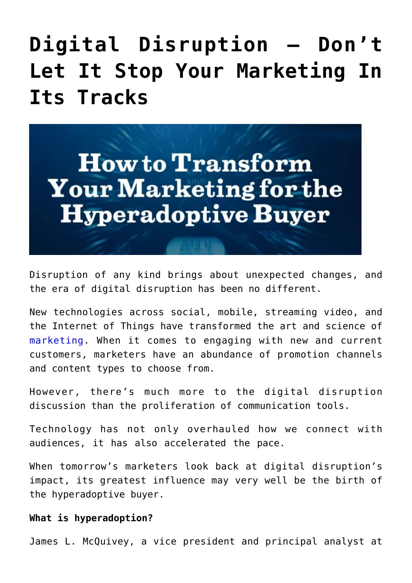## **[Digital Disruption – Don't](https://www.commpro.biz/digital-disruption-dont-let-it-stop-your-marketing-in-its-tracks/) [Let It Stop Your Marketing In](https://www.commpro.biz/digital-disruption-dont-let-it-stop-your-marketing-in-its-tracks/) [Its Tracks](https://www.commpro.biz/digital-disruption-dont-let-it-stop-your-marketing-in-its-tracks/)**



Disruption of any kind brings about unexpected changes, and the era of digital disruption has been no different.

New technologies across social, mobile, streaming video, and the Internet of Things have transformed the art and science of [marketing](https://www.commpro.biz/agile-engagement-channel/). When it comes to engaging with new and current customers, marketers have an abundance of promotion channels and content types to choose from.

However, there's much more to the digital disruption discussion than the proliferation of communication tools.

Technology has not only overhauled how we connect with audiences, it has also accelerated the pace.

When tomorrow's marketers look back at digital disruption's impact, its greatest influence may very well be the birth of the hyperadoptive buyer.

## **What is hyperadoption?**

James L. McQuivey, a vice president and principal analyst at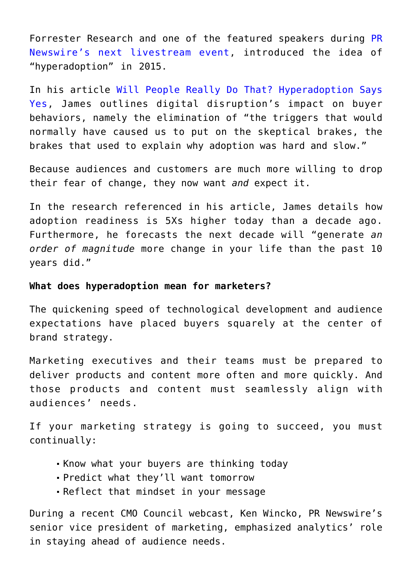Forrester Research and one of the featured speakers during [PR](https://bit.ly/fastpacedmarketing) [Newswire's next livestream event](https://bit.ly/fastpacedmarketing), introduced the idea of "hyperadoption" in 2015.

In his article [Will People Really Do That? Hyperadoption Says](https://blogs.forrester.com/james_mcquivey/15-04-27-will_people_really_do_that_hyperadoption_says_yes) [Yes,](https://blogs.forrester.com/james_mcquivey/15-04-27-will_people_really_do_that_hyperadoption_says_yes) James outlines digital disruption's impact on buyer behaviors, namely the elimination of "the triggers that would normally have caused us to put on the skeptical brakes, the brakes that used to explain why adoption was hard and slow."

Because audiences and customers are much more willing to drop their fear of change, they now want *and* expect it.

In the research referenced in his article, James details how adoption readiness is 5Xs higher today than a decade ago. Furthermore, he forecasts the next decade will "generate *an order of magnitude* more change in your life than the past 10 years did."

## **What does hyperadoption mean for marketers?**

The quickening speed of technological development and audience expectations have placed buyers squarely at the center of brand strategy.

Marketing executives and their teams must be prepared to deliver products and content more often and more quickly. And those products and content must seamlessly align with audiences' needs.

If your marketing strategy is going to succeed, you must continually:

- Know what your buyers are thinking today
- Predict what they'll want tomorrow
- Reflect that mindset in your message

During a recent [CMO Council webcast,](https://www.cmocouncil.org/webcast.php?id=85) Ken Wincko, PR Newswire's senior vice president of marketing, emphasized analytics' role in staying ahead of audience needs.